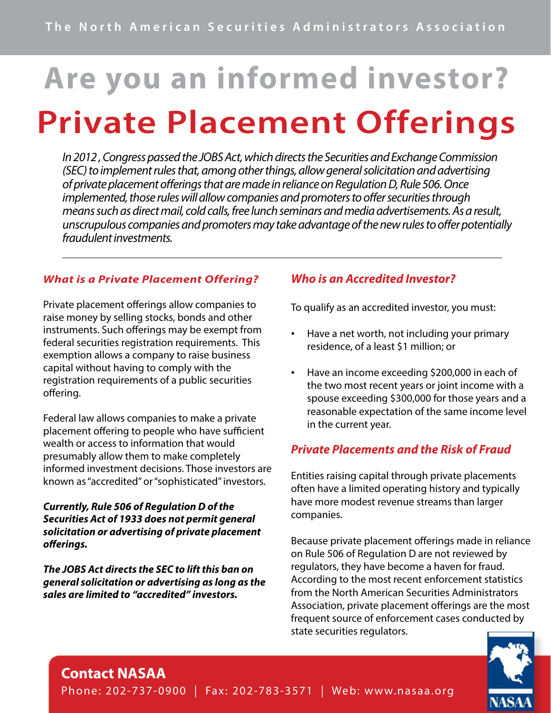# **Are you an informed investor? Private Placement Offerings**

*In 2012 , Congress passed the JOBS Act, which directs the Securities and Exchange Commission (SEC) to implement rules that, among other things, allow general solicitation and advertising of private placement offerings that are made in reliance on Regulation D, Rule 506. Once implemented, those rules will allow companies and promoters to offer securities through means such as direct mail, cold calls, free lunch seminars and media advertisements. As a result, unscrupulous companies and promoters may take advantage of the new rules to offer potentially fraudulent investments.* 

#### *What is a Private Placement Offering?*

Private placement offerings allow companies to raise money by selling stocks, bonds and other instruments. Such offerings may be exempt from federal securities registration requirements. This exemption allows a company to raise business capital without having to comply with the registration requirements of a public securities offering.

Federal law allows companies to make a private placement offering to people who have sufficient wealth or access to information that would presumably allow them to make completely informed investment decisions. Those investors are known as "accredited" or "sophisticated" investors.

#### *Currently, Rule 506 of Regulation D of the Securities Act of 1933 does not permit general solicitation or advertising of private placement offerings.*

*The JOBS Act directs the SEC to lift this ban on general solicitation or advertising as long as the sales are limited to "accredited" investors.* 

#### *Who is an Accredited Investor?*

To qualify as an accredited investor, you must:

- Have a net worth, not including your primary residence, of a least \$1 million; or
- Have an income exceeding \$200,000 in each of the two most recent years or joint income with a spouse exceeding \$300,000 for those years and a reasonable expectation of the same income level in the current year.

#### *Private Placements and the Risk of Fraud*

Entities raising capital through private placements often have a limited operating history and typically have more modest revenue streams than larger companies.

Because private placement offerings made in reliance on Rule 506 of Regulation D are not reviewed by regulators, they have become a haven for fraud. According to the most recent enforcement statistics from the North American Securities Administrators Association, private placement offerings are the most frequent source of enforcement cases conducted by state securities regulators.



## **Contact NASAA**

Phone: 202-737-0900 | Fax: 202-783-3571 | Web: w w w.nasaa.org